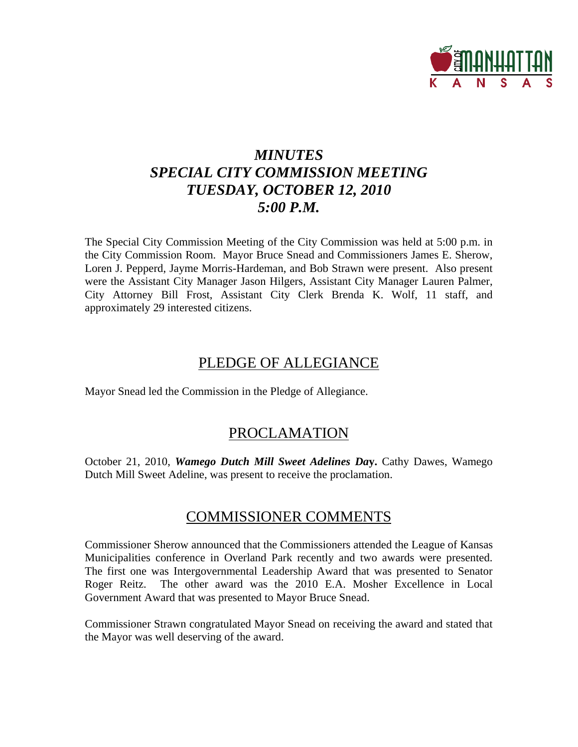

# *MINUTES SPECIAL CITY COMMISSION MEETING TUESDAY, OCTOBER 12, 2010 5:00 P.M.*

The Special City Commission Meeting of the City Commission was held at 5:00 p.m. in the City Commission Room. Mayor Bruce Snead and Commissioners James E. Sherow, Loren J. Pepperd, Jayme Morris-Hardeman, and Bob Strawn were present. Also present were the Assistant City Manager Jason Hilgers, Assistant City Manager Lauren Palmer, City Attorney Bill Frost, Assistant City Clerk Brenda K. Wolf, 11 staff, and approximately 29 interested citizens.

## PLEDGE OF ALLEGIANCE

Mayor Snead led the Commission in the Pledge of Allegiance.

## PROCLAMATION

October 21, 2010, *Wamego Dutch Mill Sweet Adelines Da***y.** Cathy Dawes, Wamego Dutch Mill Sweet Adeline, was present to receive the proclamation.

## COMMISSIONER COMMENTS

Commissioner Sherow announced that the Commissioners attended the League of Kansas Municipalities conference in Overland Park recently and two awards were presented. The first one was Intergovernmental Leadership Award that was presented to Senator Roger Reitz. The other award was the 2010 E.A. Mosher Excellence in Local Government Award that was presented to Mayor Bruce Snead.

Commissioner Strawn congratulated Mayor Snead on receiving the award and stated that the Mayor was well deserving of the award.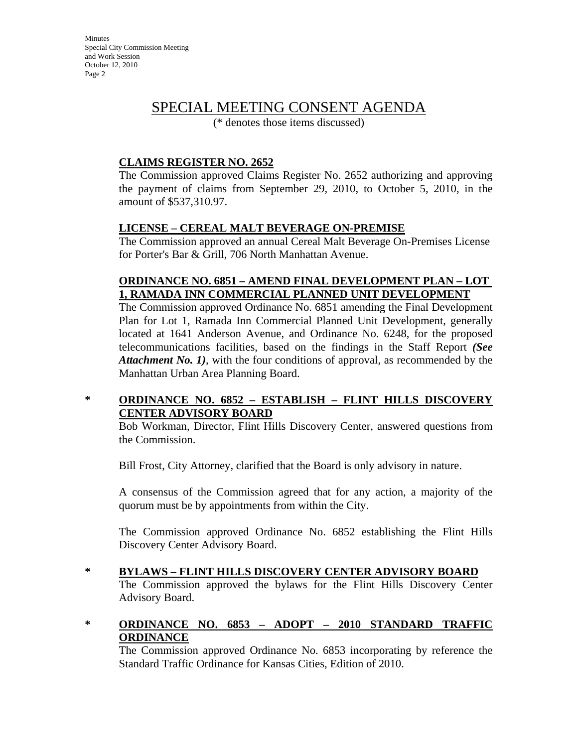## SPECIAL MEETING CONSENT AGENDA

(\* denotes those items discussed)

### **CLAIMS REGISTER NO. 2652**

The Commission approved Claims Register No. 2652 authorizing and approving the payment of claims from September 29, 2010, to October 5, 2010, in the amount of \$537,310.97.

### **LICENSE – CEREAL MALT BEVERAGE ON-PREMISE**

The Commission approved an annual Cereal Malt Beverage On-Premises License for Porter's Bar & Grill, 706 North Manhattan Avenue.

### **ORDINANCE NO. 6851 – AMEND FINAL DEVELOPMENT PLAN – LOT 1, RAMADA INN COMMERCIAL PLANNED UNIT DEVELOPMENT**

The Commission approved Ordinance No. 6851 amending the Final Development Plan for Lot 1, Ramada Inn Commercial Planned Unit Development, generally located at 1641 Anderson Avenue, and Ordinance No. 6248, for the proposed telecommunications facilities, based on the findings in the Staff Report *(See Attachment No. 1)*, with the four conditions of approval, as recommended by the Manhattan Urban Area Planning Board.

### **\* ORDINANCE NO. 6852 – ESTABLISH – FLINT HILLS DISCOVERY CENTER ADVISORY BOARD**

Bob Workman, Director, Flint Hills Discovery Center, answered questions from the Commission.

Bill Frost, City Attorney, clarified that the Board is only advisory in nature.

A consensus of the Commission agreed that for any action, a majority of the quorum must be by appointments from within the City.

The Commission approved Ordinance No. 6852 establishing the Flint Hills Discovery Center Advisory Board.

**\* BYLAWS – FLINT HILLS DISCOVERY CENTER ADVISORY BOARD** The Commission approved the bylaws for the Flint Hills Discovery Center Advisory Board.

### **\* ORDINANCE NO. 6853 – ADOPT – 2010 STANDARD TRAFFIC ORDINANCE**

The Commission approved Ordinance No. 6853 incorporating by reference the Standard Traffic Ordinance for Kansas Cities, Edition of 2010.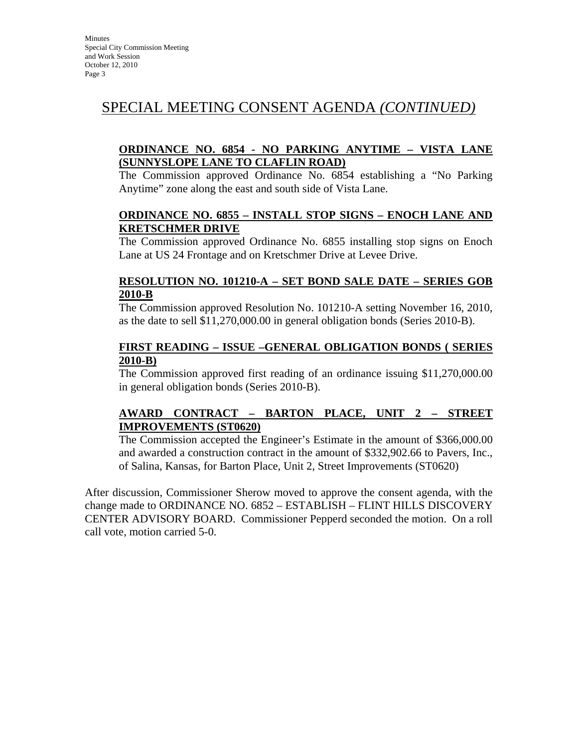# SPECIAL MEETING CONSENT AGENDA *(CONTINUED)*

### **ORDINANCE NO. 6854 - NO PARKING ANYTIME – VISTA LANE (SUNNYSLOPE LANE TO CLAFLIN ROAD)**

The Commission approved Ordinance No. 6854 establishing a "No Parking Anytime" zone along the east and south side of Vista Lane.

#### **ORDINANCE NO. 6855 – INSTALL STOP SIGNS – ENOCH LANE AND KRETSCHMER DRIVE**

The Commission approved Ordinance No. 6855 installing stop signs on Enoch Lane at US 24 Frontage and on Kretschmer Drive at Levee Drive.

### **RESOLUTION NO. 101210-A – SET BOND SALE DATE – SERIES GOB 2010-B**

The Commission approved Resolution No. 101210-A setting November 16, 2010, as the date to sell \$11,270,000.00 in general obligation bonds (Series 2010-B).

### **FIRST READING – ISSUE –GENERAL OBLIGATION BONDS ( SERIES 2010-B)**

The Commission approved first reading of an ordinance issuing \$11,270,000.00 in general obligation bonds (Series 2010-B).

### **AWARD CONTRACT – BARTON PLACE, UNIT 2 – STREET IMPROVEMENTS (ST0620)**

The Commission accepted the Engineer's Estimate in the amount of \$366,000.00 and awarded a construction contract in the amount of \$332,902.66 to Pavers, Inc., of Salina, Kansas, for Barton Place, Unit 2, Street Improvements (ST0620)

After discussion, Commissioner Sherow moved to approve the consent agenda, with the change made to ORDINANCE NO. 6852 – ESTABLISH – FLINT HILLS DISCOVERY CENTER ADVISORY BOARD. Commissioner Pepperd seconded the motion. On a roll call vote, motion carried 5-0.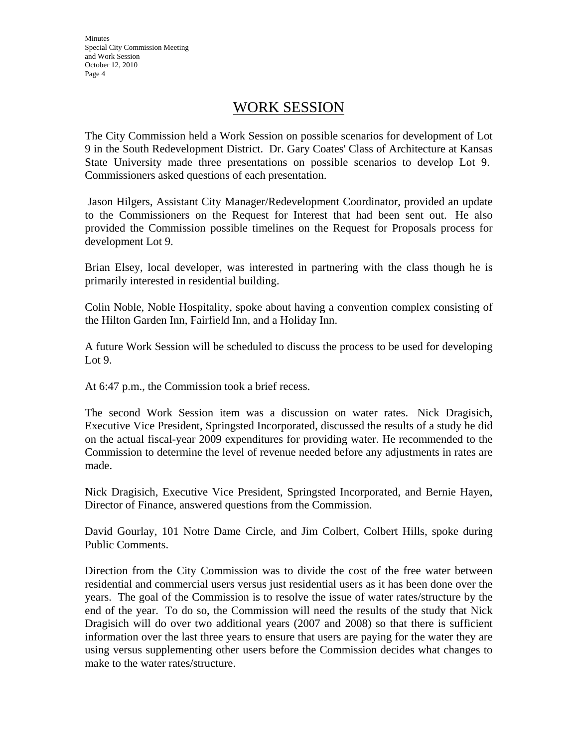### WORK SESSION

The City Commission held a Work Session on possible scenarios for development of Lot 9 in the South Redevelopment District. Dr. Gary Coates' Class of Architecture at Kansas State University made three presentations on possible scenarios to develop Lot 9. Commissioners asked questions of each presentation.

 Jason Hilgers, Assistant City Manager/Redevelopment Coordinator, provided an update to the Commissioners on the Request for Interest that had been sent out. He also provided the Commission possible timelines on the Request for Proposals process for development Lot 9.

Brian Elsey, local developer, was interested in partnering with the class though he is primarily interested in residential building.

Colin Noble, Noble Hospitality, spoke about having a convention complex consisting of the Hilton Garden Inn, Fairfield Inn, and a Holiday Inn.

A future Work Session will be scheduled to discuss the process to be used for developing Lot 9.

At 6:47 p.m., the Commission took a brief recess.

The second Work Session item was a discussion on water rates. Nick Dragisich, Executive Vice President, Springsted Incorporated, discussed the results of a study he did on the actual fiscal-year 2009 expenditures for providing water. He recommended to the Commission to determine the level of revenue needed before any adjustments in rates are made.

Nick Dragisich, Executive Vice President, Springsted Incorporated, and Bernie Hayen, Director of Finance, answered questions from the Commission.

David Gourlay, 101 Notre Dame Circle, and Jim Colbert, Colbert Hills, spoke during Public Comments.

Direction from the City Commission was to divide the cost of the free water between residential and commercial users versus just residential users as it has been done over the years. The goal of the Commission is to resolve the issue of water rates/structure by the end of the year. To do so, the Commission will need the results of the study that Nick Dragisich will do over two additional years (2007 and 2008) so that there is sufficient information over the last three years to ensure that users are paying for the water they are using versus supplementing other users before the Commission decides what changes to make to the water rates/structure.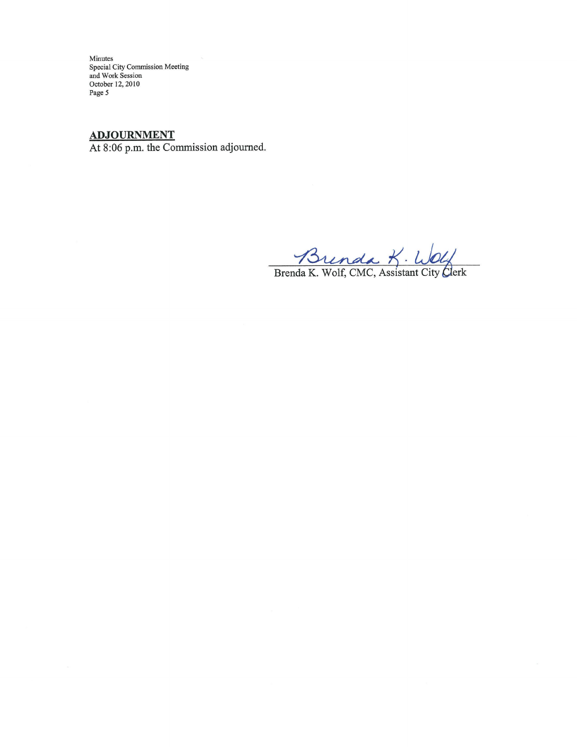# ADJOURNMENT

At 8:06 p.m. the Commission adjourned.

Brenda K. Wolf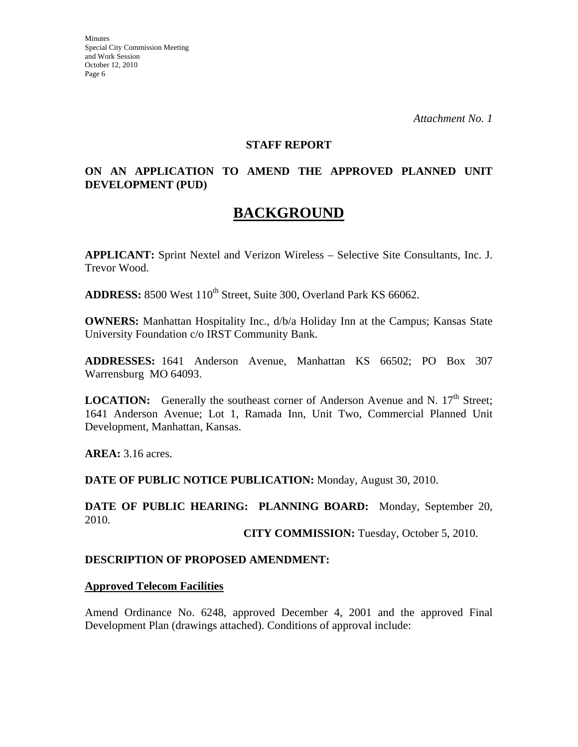*Attachment No. 1* 

### **STAFF REPORT**

### **ON AN APPLICATION TO AMEND THE APPROVED PLANNED UNIT DEVELOPMENT (PUD)**

## **BACKGROUND**

**APPLICANT:** Sprint Nextel and Verizon Wireless – Selective Site Consultants, Inc. J. Trevor Wood.

**ADDRESS:** 8500 West 110<sup>th</sup> Street, Suite 300, Overland Park KS 66062.

**OWNERS:** Manhattan Hospitality Inc., d/b/a Holiday Inn at the Campus; Kansas State University Foundation c/o IRST Community Bank.

**ADDRESSES:** 1641 Anderson Avenue, Manhattan KS 66502; PO Box 307 Warrensburg MO 64093.

**LOCATION:** Generally the southeast corner of Anderson Avenue and N.  $17<sup>th</sup>$  Street; 1641 Anderson Avenue; Lot 1, Ramada Inn, Unit Two, Commercial Planned Unit Development, Manhattan, Kansas.

**AREA:** 3.16 acres.

**DATE OF PUBLIC NOTICE PUBLICATION:** Monday, August 30, 2010.

**DATE OF PUBLIC HEARING: PLANNING BOARD:** Monday, September 20, 2010.

**CITY COMMISSION:** Tuesday, October 5, 2010.

### **DESCRIPTION OF PROPOSED AMENDMENT:**

#### **Approved Telecom Facilities**

Amend Ordinance No. 6248, approved December 4, 2001 and the approved Final Development Plan (drawings attached). Conditions of approval include: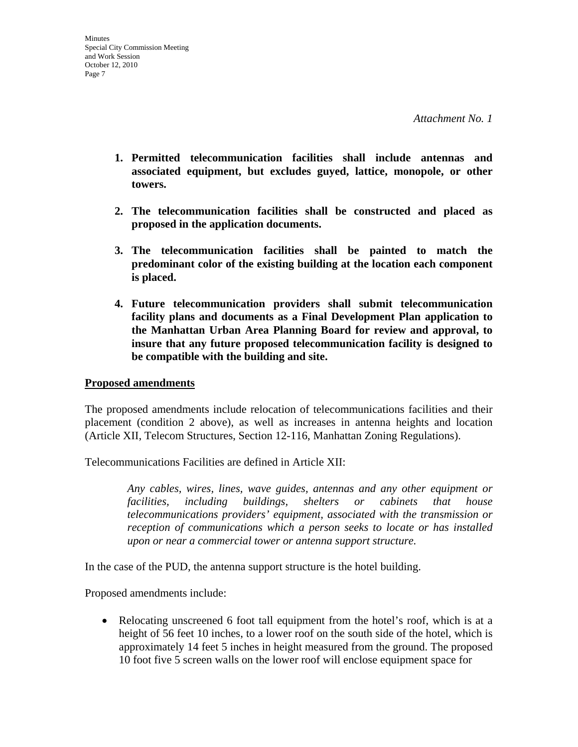- **1. Permitted telecommunication facilities shall include antennas and associated equipment, but excludes guyed, lattice, monopole, or other towers.**
- **2. The telecommunication facilities shall be constructed and placed as proposed in the application documents.**
- **3. The telecommunication facilities shall be painted to match the predominant color of the existing building at the location each component is placed.**
- **4. Future telecommunication providers shall submit telecommunication facility plans and documents as a Final Development Plan application to the Manhattan Urban Area Planning Board for review and approval, to insure that any future proposed telecommunication facility is designed to be compatible with the building and site.**

### **Proposed amendments**

The proposed amendments include relocation of telecommunications facilities and their placement (condition 2 above), as well as increases in antenna heights and location (Article XII, Telecom Structures, Section 12-116, Manhattan Zoning Regulations).

Telecommunications Facilities are defined in Article XII:

*Any cables, wires, lines, wave guides, antennas and any other equipment or facilities, including buildings, shelters or cabinets that house telecommunications providers' equipment, associated with the transmission or reception of communications which a person seeks to locate or has installed upon or near a commercial tower or antenna support structure.* 

In the case of the PUD, the antenna support structure is the hotel building.

Proposed amendments include:

• Relocating unscreened 6 foot tall equipment from the hotel's roof, which is at a height of 56 feet 10 inches, to a lower roof on the south side of the hotel, which is approximately 14 feet 5 inches in height measured from the ground. The proposed 10 foot five 5 screen walls on the lower roof will enclose equipment space for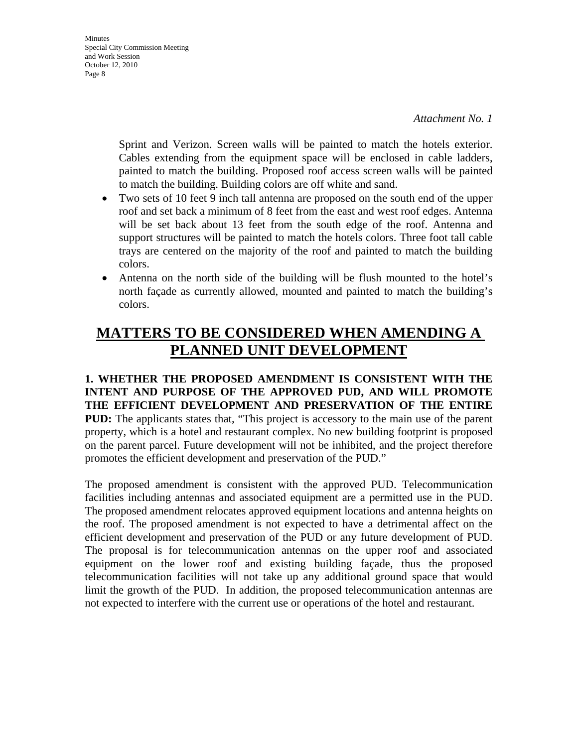**Minutes** Special City Commission Meeting and Work Session October 12, 2010 Page 8

> Sprint and Verizon. Screen walls will be painted to match the hotels exterior. Cables extending from the equipment space will be enclosed in cable ladders, painted to match the building. Proposed roof access screen walls will be painted to match the building. Building colors are off white and sand.

- Two sets of 10 feet 9 inch tall antenna are proposed on the south end of the upper roof and set back a minimum of 8 feet from the east and west roof edges. Antenna will be set back about 13 feet from the south edge of the roof. Antenna and support structures will be painted to match the hotels colors. Three foot tall cable trays are centered on the majority of the roof and painted to match the building colors.
- Antenna on the north side of the building will be flush mounted to the hotel's north façade as currently allowed, mounted and painted to match the building's colors.

# **MATTERS TO BE CONSIDERED WHEN AMENDING A PLANNED UNIT DEVELOPMENT**

**1. WHETHER THE PROPOSED AMENDMENT IS CONSISTENT WITH THE INTENT AND PURPOSE OF THE APPROVED PUD, AND WILL PROMOTE THE EFFICIENT DEVELOPMENT AND PRESERVATION OF THE ENTIRE PUD:** The applicants states that, "This project is accessory to the main use of the parent property, which is a hotel and restaurant complex. No new building footprint is proposed on the parent parcel. Future development will not be inhibited, and the project therefore promotes the efficient development and preservation of the PUD."

The proposed amendment is consistent with the approved PUD. Telecommunication facilities including antennas and associated equipment are a permitted use in the PUD. The proposed amendment relocates approved equipment locations and antenna heights on the roof. The proposed amendment is not expected to have a detrimental affect on the efficient development and preservation of the PUD or any future development of PUD. The proposal is for telecommunication antennas on the upper roof and associated equipment on the lower roof and existing building façade, thus the proposed telecommunication facilities will not take up any additional ground space that would limit the growth of the PUD. In addition, the proposed telecommunication antennas are not expected to interfere with the current use or operations of the hotel and restaurant.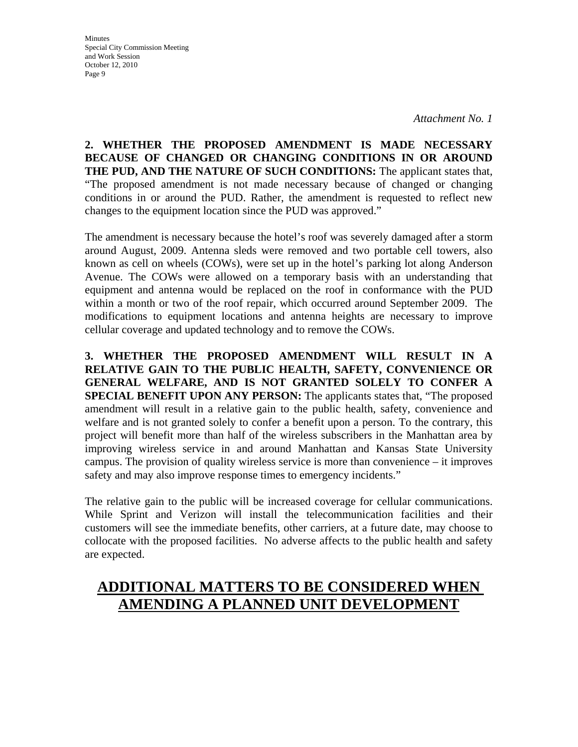*Attachment No. 1* 

**2. WHETHER THE PROPOSED AMENDMENT IS MADE NECESSARY BECAUSE OF CHANGED OR CHANGING CONDITIONS IN OR AROUND THE PUD, AND THE NATURE OF SUCH CONDITIONS:** The applicant states that, "The proposed amendment is not made necessary because of changed or changing conditions in or around the PUD. Rather, the amendment is requested to reflect new changes to the equipment location since the PUD was approved."

The amendment is necessary because the hotel's roof was severely damaged after a storm around August, 2009. Antenna sleds were removed and two portable cell towers, also known as cell on wheels (COWs), were set up in the hotel's parking lot along Anderson Avenue. The COWs were allowed on a temporary basis with an understanding that equipment and antenna would be replaced on the roof in conformance with the PUD within a month or two of the roof repair, which occurred around September 2009. The modifications to equipment locations and antenna heights are necessary to improve cellular coverage and updated technology and to remove the COWs.

**3. WHETHER THE PROPOSED AMENDMENT WILL RESULT IN A RELATIVE GAIN TO THE PUBLIC HEALTH, SAFETY, CONVENIENCE OR GENERAL WELFARE, AND IS NOT GRANTED SOLELY TO CONFER A SPECIAL BENEFIT UPON ANY PERSON:** The applicants states that, "The proposed amendment will result in a relative gain to the public health, safety, convenience and welfare and is not granted solely to confer a benefit upon a person. To the contrary, this project will benefit more than half of the wireless subscribers in the Manhattan area by improving wireless service in and around Manhattan and Kansas State University campus. The provision of quality wireless service is more than convenience – it improves safety and may also improve response times to emergency incidents."

The relative gain to the public will be increased coverage for cellular communications. While Sprint and Verizon will install the telecommunication facilities and their customers will see the immediate benefits, other carriers, at a future date, may choose to collocate with the proposed facilities. No adverse affects to the public health and safety are expected.

# **ADDITIONAL MATTERS TO BE CONSIDERED WHEN AMENDING A PLANNED UNIT DEVELOPMENT**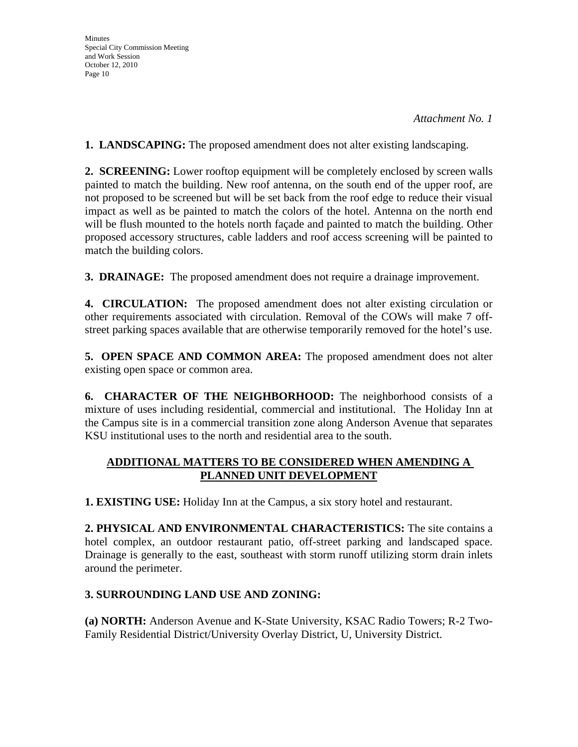*Attachment No. 1* 

**1. LANDSCAPING:** The proposed amendment does not alter existing landscaping.

**2. SCREENING:** Lower rooftop equipment will be completely enclosed by screen walls painted to match the building. New roof antenna, on the south end of the upper roof, are not proposed to be screened but will be set back from the roof edge to reduce their visual impact as well as be painted to match the colors of the hotel. Antenna on the north end will be flush mounted to the hotels north façade and painted to match the building. Other proposed accessory structures, cable ladders and roof access screening will be painted to match the building colors.

**3. DRAINAGE:** The proposed amendment does not require a drainage improvement.

**4. CIRCULATION:** The proposed amendment does not alter existing circulation or other requirements associated with circulation. Removal of the COWs will make 7 offstreet parking spaces available that are otherwise temporarily removed for the hotel's use.

**5. OPEN SPACE AND COMMON AREA:** The proposed amendment does not alter existing open space or common area.

**6. CHARACTER OF THE NEIGHBORHOOD:** The neighborhood consists of a mixture of uses including residential, commercial and institutional. The Holiday Inn at the Campus site is in a commercial transition zone along Anderson Avenue that separates KSU institutional uses to the north and residential area to the south.

### **ADDITIONAL MATTERS TO BE CONSIDERED WHEN AMENDING A PLANNED UNIT DEVELOPMENT**

**1. EXISTING USE:** Holiday Inn at the Campus, a six story hotel and restaurant.

**2. PHYSICAL AND ENVIRONMENTAL CHARACTERISTICS:** The site contains a hotel complex, an outdoor restaurant patio, off-street parking and landscaped space. Drainage is generally to the east, southeast with storm runoff utilizing storm drain inlets around the perimeter.

### **3. SURROUNDING LAND USE AND ZONING:**

**(a) NORTH:** Anderson Avenue and K-State University, KSAC Radio Towers; R-2 Two-Family Residential District/University Overlay District, U, University District.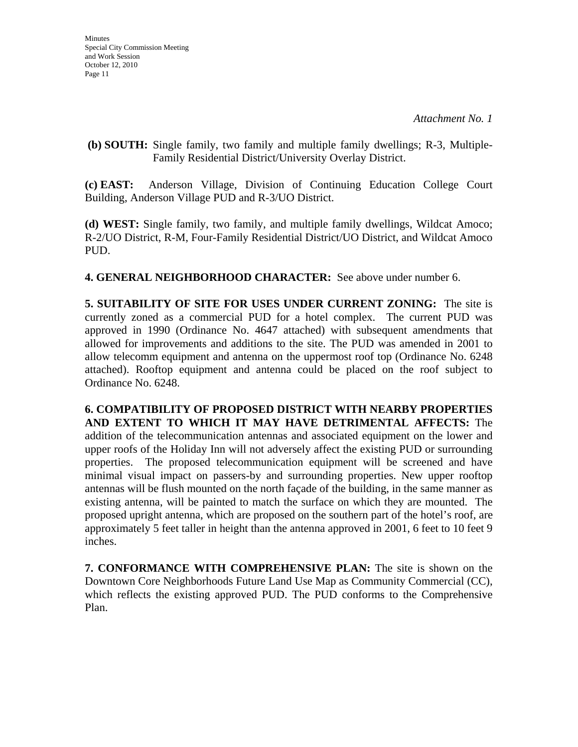**(b) SOUTH:** Single family, two family and multiple family dwellings; R-3, Multiple-Family Residential District/University Overlay District.

**(c) EAST:** Anderson Village, Division of Continuing Education College Court Building, Anderson Village PUD and R-3/UO District.

**(d) WEST:** Single family, two family, and multiple family dwellings, Wildcat Amoco; R-2/UO District, R-M, Four-Family Residential District/UO District, and Wildcat Amoco PUD.

**4. GENERAL NEIGHBORHOOD CHARACTER:** See above under number 6.

**5. SUITABILITY OF SITE FOR USES UNDER CURRENT ZONING:** The site is currently zoned as a commercial PUD for a hotel complex. The current PUD was approved in 1990 (Ordinance No. 4647 attached) with subsequent amendments that allowed for improvements and additions to the site. The PUD was amended in 2001 to allow telecomm equipment and antenna on the uppermost roof top (Ordinance No. 6248 attached). Rooftop equipment and antenna could be placed on the roof subject to Ordinance No. 6248.

**6. COMPATIBILITY OF PROPOSED DISTRICT WITH NEARBY PROPERTIES AND EXTENT TO WHICH IT MAY HAVE DETRIMENTAL AFFECTS:** The addition of the telecommunication antennas and associated equipment on the lower and upper roofs of the Holiday Inn will not adversely affect the existing PUD or surrounding properties. The proposed telecommunication equipment will be screened and have minimal visual impact on passers-by and surrounding properties. New upper rooftop antennas will be flush mounted on the north façade of the building, in the same manner as existing antenna, will be painted to match the surface on which they are mounted. The proposed upright antenna, which are proposed on the southern part of the hotel's roof, are approximately 5 feet taller in height than the antenna approved in 2001, 6 feet to 10 feet 9 inches.

**7. CONFORMANCE WITH COMPREHENSIVE PLAN:** The site is shown on the Downtown Core Neighborhoods Future Land Use Map as Community Commercial (CC), which reflects the existing approved PUD. The PUD conforms to the Comprehensive Plan.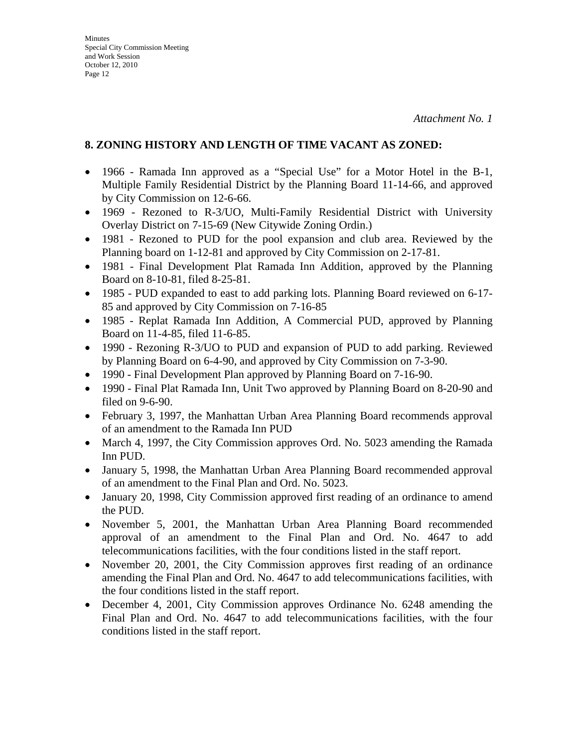### **8. ZONING HISTORY AND LENGTH OF TIME VACANT AS ZONED:**

- 1966 Ramada Inn approved as a "Special Use" for a Motor Hotel in the B-1, Multiple Family Residential District by the Planning Board 11-14-66, and approved by City Commission on 12-6-66.
- 1969 Rezoned to R-3/UO, Multi-Family Residential District with University Overlay District on 7-15-69 (New Citywide Zoning Ordin.)
- 1981 Rezoned to PUD for the pool expansion and club area. Reviewed by the Planning board on 1-12-81 and approved by City Commission on 2-17-81.
- 1981 Final Development Plat Ramada Inn Addition, approved by the Planning Board on 8-10-81, filed 8-25-81.
- 1985 PUD expanded to east to add parking lots. Planning Board reviewed on 6-17-85 and approved by City Commission on 7-16-85
- 1985 Replat Ramada Inn Addition, A Commercial PUD, approved by Planning Board on 11-4-85, filed 11-6-85.
- 1990 Rezoning R-3/UO to PUD and expansion of PUD to add parking. Reviewed by Planning Board on 6-4-90, and approved by City Commission on 7-3-90.
- 1990 Final Development Plan approved by Planning Board on 7-16-90.
- 1990 Final Plat Ramada Inn, Unit Two approved by Planning Board on 8-20-90 and filed on 9-6-90.
- February 3, 1997, the Manhattan Urban Area Planning Board recommends approval of an amendment to the Ramada Inn PUD
- March 4, 1997, the City Commission approves Ord. No. 5023 amending the Ramada Inn PUD.
- January 5, 1998, the Manhattan Urban Area Planning Board recommended approval of an amendment to the Final Plan and Ord. No. 5023.
- January 20, 1998, City Commission approved first reading of an ordinance to amend the PUD.
- November 5, 2001, the Manhattan Urban Area Planning Board recommended approval of an amendment to the Final Plan and Ord. No. 4647 to add telecommunications facilities, with the four conditions listed in the staff report.
- November 20, 2001, the City Commission approves first reading of an ordinance amending the Final Plan and Ord. No. 4647 to add telecommunications facilities, with the four conditions listed in the staff report.
- December 4, 2001, City Commission approves Ordinance No. 6248 amending the Final Plan and Ord. No. 4647 to add telecommunications facilities, with the four conditions listed in the staff report.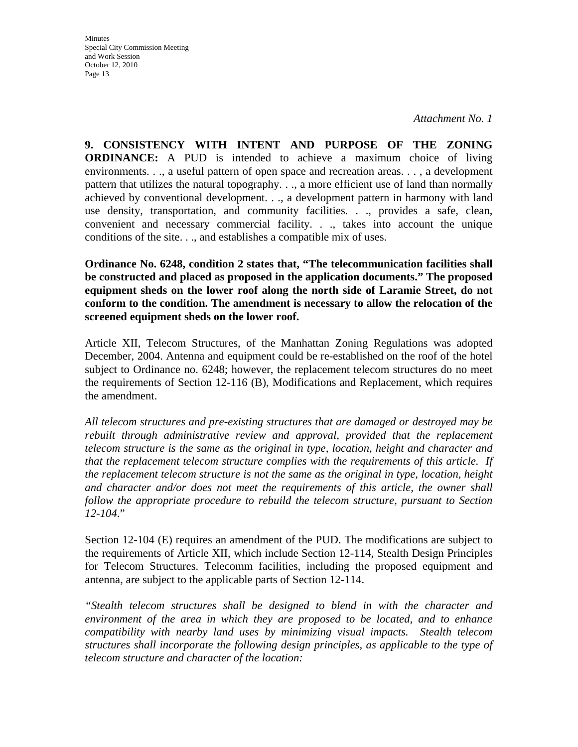*Attachment No. 1* 

**9. CONSISTENCY WITH INTENT AND PURPOSE OF THE ZONING ORDINANCE:** A PUD is intended to achieve a maximum choice of living environments. . ., a useful pattern of open space and recreation areas. . . , a development pattern that utilizes the natural topography. . ., a more efficient use of land than normally achieved by conventional development. . ., a development pattern in harmony with land use density, transportation, and community facilities. . ., provides a safe, clean, convenient and necessary commercial facility. . ., takes into account the unique conditions of the site. . ., and establishes a compatible mix of uses.

**Ordinance No. 6248, condition 2 states that, "The telecommunication facilities shall be constructed and placed as proposed in the application documents." The proposed equipment sheds on the lower roof along the north side of Laramie Street, do not conform to the condition. The amendment is necessary to allow the relocation of the screened equipment sheds on the lower roof.** 

Article XII, Telecom Structures, of the Manhattan Zoning Regulations was adopted December, 2004. Antenna and equipment could be re-established on the roof of the hotel subject to Ordinance no. 6248; however, the replacement telecom structures do no meet the requirements of Section 12-116 (B), Modifications and Replacement, which requires the amendment.

*All telecom structures and pre-existing structures that are damaged or destroyed may be*  rebuilt through administrative review and approval, provided that the replacement *telecom structure is the same as the original in type, location, height and character and that the replacement telecom structure complies with the requirements of this article. If the replacement telecom structure is not the same as the original in type, location, height and character and/or does not meet the requirements of this article, the owner shall follow the appropriate procedure to rebuild the telecom structure, pursuant to Section 12-104*."

Section 12-104 (E) requires an amendment of the PUD. The modifications are subject to the requirements of Article XII, which include Section 12-114, Stealth Design Principles for Telecom Structures. Telecomm facilities, including the proposed equipment and antenna, are subject to the applicable parts of Section 12-114.

*"Stealth telecom structures shall be designed to blend in with the character and environment of the area in which they are proposed to be located, and to enhance compatibility with nearby land uses by minimizing visual impacts. Stealth telecom structures shall incorporate the following design principles, as applicable to the type of telecom structure and character of the location:*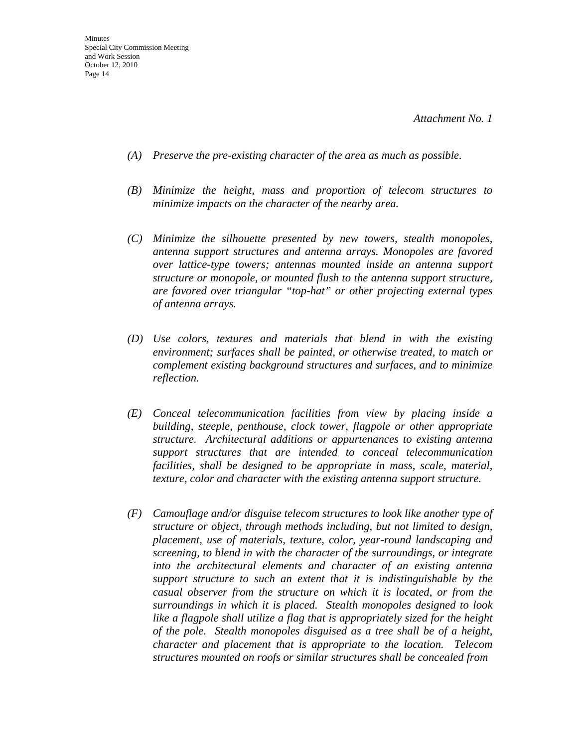- *(A) Preserve the pre-existing character of the area as much as possible.*
- *(B) Minimize the height, mass and proportion of telecom structures to minimize impacts on the character of the nearby area.*
- *(C) Minimize the silhouette presented by new towers, stealth monopoles, antenna support structures and antenna arrays. Monopoles are favored over lattice-type towers; antennas mounted inside an antenna support structure or monopole, or mounted flush to the antenna support structure, are favored over triangular "top-hat" or other projecting external types of antenna arrays.*
- *(D) Use colors, textures and materials that blend in with the existing environment; surfaces shall be painted, or otherwise treated, to match or complement existing background structures and surfaces, and to minimize reflection.*
- *(E) Conceal telecommunication facilities from view by placing inside a building, steeple, penthouse, clock tower, flagpole or other appropriate structure. Architectural additions or appurtenances to existing antenna support structures that are intended to conceal telecommunication facilities, shall be designed to be appropriate in mass, scale, material, texture, color and character with the existing antenna support structure.*
- *(F) Camouflage and/or disguise telecom structures to look like another type of structure or object, through methods including, but not limited to design, placement, use of materials, texture, color, year-round landscaping and screening, to blend in with the character of the surroundings, or integrate into the architectural elements and character of an existing antenna support structure to such an extent that it is indistinguishable by the casual observer from the structure on which it is located, or from the surroundings in which it is placed. Stealth monopoles designed to look like a flagpole shall utilize a flag that is appropriately sized for the height of the pole. Stealth monopoles disguised as a tree shall be of a height, character and placement that is appropriate to the location. Telecom structures mounted on roofs or similar structures shall be concealed from*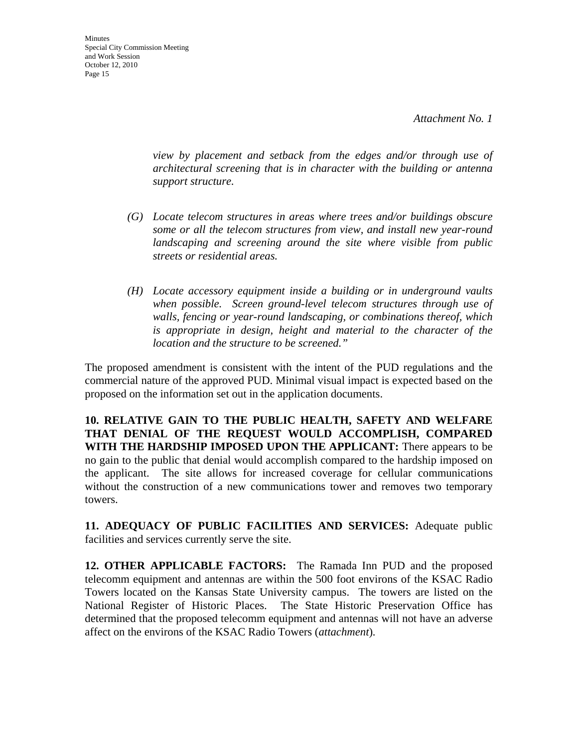**Minutes** Special City Commission Meeting and Work Session October 12, 2010 Page 15

> *view by placement and setback from the edges and/or through use of architectural screening that is in character with the building or antenna support structure.*

- *(G) Locate telecom structures in areas where trees and/or buildings obscure some or all the telecom structures from view, and install new year-round landscaping and screening around the site where visible from public streets or residential areas.*
- *(H) Locate accessory equipment inside a building or in underground vaults when possible. Screen ground-level telecom structures through use of walls, fencing or year-round landscaping, or combinations thereof, which is appropriate in design, height and material to the character of the location and the structure to be screened."*

The proposed amendment is consistent with the intent of the PUD regulations and the commercial nature of the approved PUD. Minimal visual impact is expected based on the proposed on the information set out in the application documents.

**10. RELATIVE GAIN TO THE PUBLIC HEALTH, SAFETY AND WELFARE THAT DENIAL OF THE REQUEST WOULD ACCOMPLISH, COMPARED WITH THE HARDSHIP IMPOSED UPON THE APPLICANT:** There appears to be no gain to the public that denial would accomplish compared to the hardship imposed on the applicant. The site allows for increased coverage for cellular communications without the construction of a new communications tower and removes two temporary towers.

**11. ADEQUACY OF PUBLIC FACILITIES AND SERVICES:** Adequate public facilities and services currently serve the site.

**12. OTHER APPLICABLE FACTORS:** The Ramada Inn PUD and the proposed telecomm equipment and antennas are within the 500 foot environs of the KSAC Radio Towers located on the Kansas State University campus. The towers are listed on the National Register of Historic Places. The State Historic Preservation Office has determined that the proposed telecomm equipment and antennas will not have an adverse affect on the environs of the KSAC Radio Towers (*attachment*)*.*